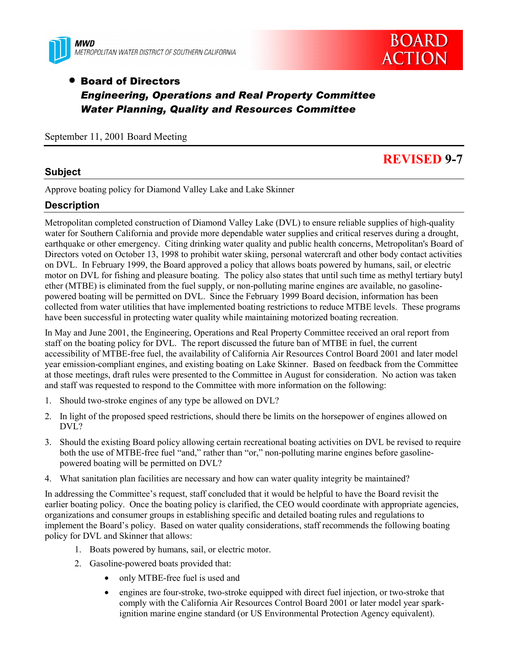



## • Board of Directors *Engineering, Operations and Real Property Committee Water Planning, Quality and Resources Committee*

September 11, 2001 Board Meeting

#### **Subject**

# **REVISED 9-7**

Approve boating policy for Diamond Valley Lake and Lake Skinner

#### **Description**

Metropolitan completed construction of Diamond Valley Lake (DVL) to ensure reliable supplies of high-quality water for Southern California and provide more dependable water supplies and critical reserves during a drought, earthquake or other emergency. Citing drinking water quality and public health concerns, Metropolitan's Board of Directors voted on October 13, 1998 to prohibit water skiing, personal watercraft and other body contact activities on DVL. In February 1999, the Board approved a policy that allows boats powered by humans, sail, or electric motor on DVL for fishing and pleasure boating. The policy also states that until such time as methyl tertiary butyl ether (MTBE) is eliminated from the fuel supply, or non-polluting marine engines are available, no gasolinepowered boating will be permitted on DVL. Since the February 1999 Board decision, information has been collected from water utilities that have implemented boating restrictions to reduce MTBE levels. These programs have been successful in protecting water quality while maintaining motorized boating recreation.

In May and June 2001, the Engineering, Operations and Real Property Committee received an oral report from staff on the boating policy for DVL. The report discussed the future ban of MTBE in fuel, the current accessibility of MTBE-free fuel, the availability of California Air Resources Control Board 2001 and later model year emission-compliant engines, and existing boating on Lake Skinner. Based on feedback from the Committee at those meetings, draft rules were presented to the Committee in August for consideration. No action was taken and staff was requested to respond to the Committee with more information on the following:

- 1. Should two-stroke engines of any type be allowed on DVL?
- 2. In light of the proposed speed restrictions, should there be limits on the horsepower of engines allowed on DVL?
- 3. Should the existing Board policy allowing certain recreational boating activities on DVL be revised to require both the use of MTBE-free fuel "and," rather than "or," non-polluting marine engines before gasolinepowered boating will be permitted on DVL?
- 4. What sanitation plan facilities are necessary and how can water quality integrity be maintained?

In addressing the Committee's request, staff concluded that it would be helpful to have the Board revisit the earlier boating policy. Once the boating policy is clarified, the CEO would coordinate with appropriate agencies, organizations and consumer groups in establishing specific and detailed boating rules and regulations to implement the Board's policy. Based on water quality considerations, staff recommends the following boating policy for DVL and Skinner that allows:

- 1. Boats powered by humans, sail, or electric motor.
- 2. Gasoline-powered boats provided that:
	- only MTBE-free fuel is used and
	- engines are four-stroke, two-stroke equipped with direct fuel injection, or two-stroke that comply with the California Air Resources Control Board 2001 or later model year sparkignition marine engine standard (or US Environmental Protection Agency equivalent).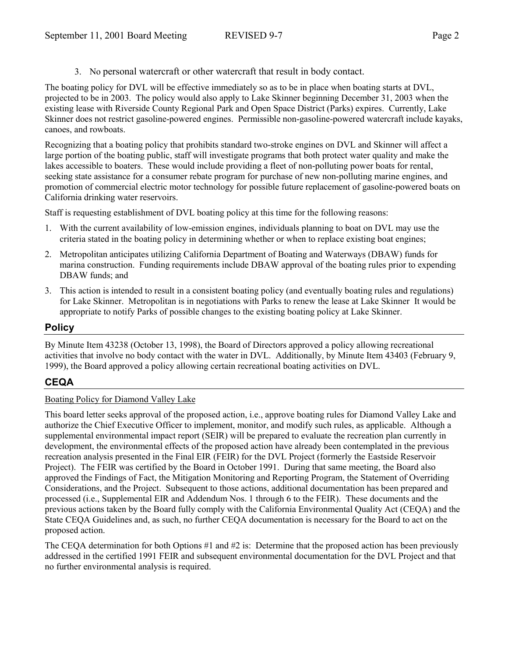3. No personal watercraft or other watercraft that result in body contact.

The boating policy for DVL will be effective immediately so as to be in place when boating starts at DVL, projected to be in 2003. The policy would also apply to Lake Skinner beginning December 31, 2003 when the existing lease with Riverside County Regional Park and Open Space District (Parks) expires. Currently, Lake Skinner does not restrict gasoline-powered engines. Permissible non-gasoline-powered watercraft include kayaks, canoes, and rowboats.

Recognizing that a boating policy that prohibits standard two-stroke engines on DVL and Skinner will affect a large portion of the boating public, staff will investigate programs that both protect water quality and make the lakes accessible to boaters. These would include providing a fleet of non-polluting power boats for rental, seeking state assistance for a consumer rebate program for purchase of new non-polluting marine engines, and promotion of commercial electric motor technology for possible future replacement of gasoline-powered boats on California drinking water reservoirs.

Staff is requesting establishment of DVL boating policy at this time for the following reasons:

- 1. With the current availability of low-emission engines, individuals planning to boat on DVL may use the criteria stated in the boating policy in determining whether or when to replace existing boat engines;
- 2. Metropolitan anticipates utilizing California Department of Boating and Waterways (DBAW) funds for marina construction. Funding requirements include DBAW approval of the boating rules prior to expending DBAW funds; and
- 3. This action is intended to result in a consistent boating policy (and eventually boating rules and regulations) for Lake Skinner. Metropolitan is in negotiations with Parks to renew the lease at Lake Skinner It would be appropriate to notify Parks of possible changes to the existing boating policy at Lake Skinner.

#### **Policy**

By Minute Item 43238 (October 13, 1998), the Board of Directors approved a policy allowing recreational activities that involve no body contact with the water in DVL. Additionally, by Minute Item 43403 (February 9, 1999), the Board approved a policy allowing certain recreational boating activities on DVL.

## **CEQA**

#### Boating Policy for Diamond Valley Lake

This board letter seeks approval of the proposed action, i.e., approve boating rules for Diamond Valley Lake and authorize the Chief Executive Officer to implement, monitor, and modify such rules, as applicable. Although a supplemental environmental impact report (SEIR) will be prepared to evaluate the recreation plan currently in development, the environmental effects of the proposed action have already been contemplated in the previous recreation analysis presented in the Final EIR (FEIR) for the DVL Project (formerly the Eastside Reservoir Project). The FEIR was certified by the Board in October 1991. During that same meeting, the Board also approved the Findings of Fact, the Mitigation Monitoring and Reporting Program, the Statement of Overriding Considerations, and the Project. Subsequent to those actions, additional documentation has been prepared and processed (i.e., Supplemental EIR and Addendum Nos. 1 through 6 to the FEIR). These documents and the previous actions taken by the Board fully comply with the California Environmental Quality Act (CEQA) and the State CEQA Guidelines and, as such, no further CEQA documentation is necessary for the Board to act on the proposed action.

The CEQA determination for both Options #1 and #2 is: Determine that the proposed action has been previously addressed in the certified 1991 FEIR and subsequent environmental documentation for the DVL Project and that no further environmental analysis is required.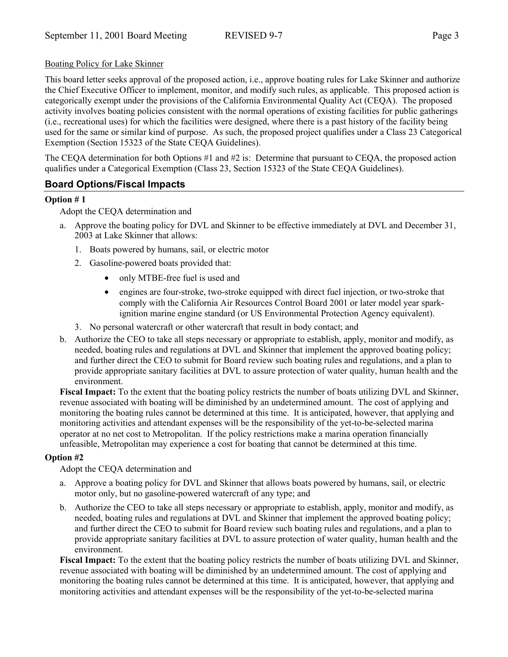#### Boating Policy for Lake Skinner

This board letter seeks approval of the proposed action, i.e., approve boating rules for Lake Skinner and authorize the Chief Executive Officer to implement, monitor, and modify such rules, as applicable. This proposed action is categorically exempt under the provisions of the California Environmental Quality Act (CEQA). The proposed activity involves boating policies consistent with the normal operations of existing facilities for public gatherings (i.e., recreational uses) for which the facilities were designed, where there is a past history of the facility being used for the same or similar kind of purpose. As such, the proposed project qualifies under a Class 23 Categorical Exemption (Section 15323 of the State CEQA Guidelines).

The CEQA determination for both Options #1 and #2 is: Determine that pursuant to CEQA, the proposed action qualifies under a Categorical Exemption (Class 23, Section 15323 of the State CEQA Guidelines).

### **Board Options/Fiscal Impacts**

#### **Option # 1**

Adopt the CEQA determination and

- a. Approve the boating policy for DVL and Skinner to be effective immediately at DVL and December 31, 2003 at Lake Skinner that allows:
	- 1. Boats powered by humans, sail, or electric motor
	- 2. Gasoline-powered boats provided that:
		- only MTBE-free fuel is used and
		- engines are four-stroke, two-stroke equipped with direct fuel injection, or two-stroke that comply with the California Air Resources Control Board 2001 or later model year sparkignition marine engine standard (or US Environmental Protection Agency equivalent).
	- 3. No personal watercraft or other watercraft that result in body contact; and
- b. Authorize the CEO to take all steps necessary or appropriate to establish, apply, monitor and modify, as needed, boating rules and regulations at DVL and Skinner that implement the approved boating policy; and further direct the CEO to submit for Board review such boating rules and regulations, and a plan to provide appropriate sanitary facilities at DVL to assure protection of water quality, human health and the environment.

**Fiscal Impact:** To the extent that the boating policy restricts the number of boats utilizing DVL and Skinner, revenue associated with boating will be diminished by an undetermined amount. The cost of applying and monitoring the boating rules cannot be determined at this time. It is anticipated, however, that applying and monitoring activities and attendant expenses will be the responsibility of the yet-to-be-selected marina operator at no net cost to Metropolitan. If the policy restrictions make a marina operation financially unfeasible, Metropolitan may experience a cost for boating that cannot be determined at this time.

#### **Option #2**

Adopt the CEQA determination and

- a. Approve a boating policy for DVL and Skinner that allows boats powered by humans, sail, or electric motor only, but no gasoline-powered watercraft of any type; and
- b. Authorize the CEO to take all steps necessary or appropriate to establish, apply, monitor and modify, as needed, boating rules and regulations at DVL and Skinner that implement the approved boating policy; and further direct the CEO to submit for Board review such boating rules and regulations, and a plan to provide appropriate sanitary facilities at DVL to assure protection of water quality, human health and the environment.

**Fiscal Impact:** To the extent that the boating policy restricts the number of boats utilizing DVL and Skinner, revenue associated with boating will be diminished by an undetermined amount. The cost of applying and monitoring the boating rules cannot be determined at this time. It is anticipated, however, that applying and monitoring activities and attendant expenses will be the responsibility of the yet-to-be-selected marina